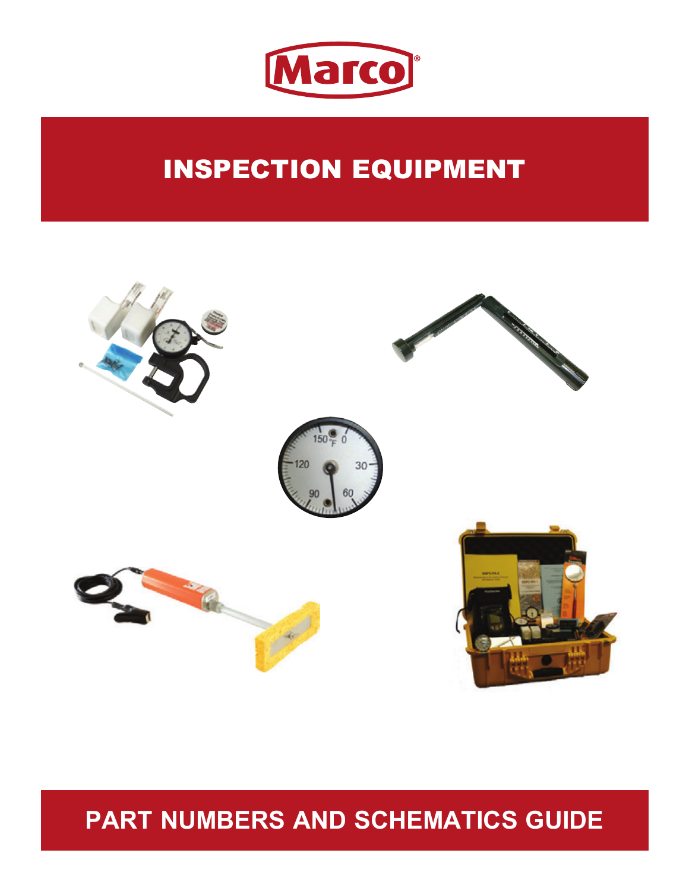

# INSPECTION EQUIPMENT



## **PART NUMBERS AND SCHEMATICS GUIDE**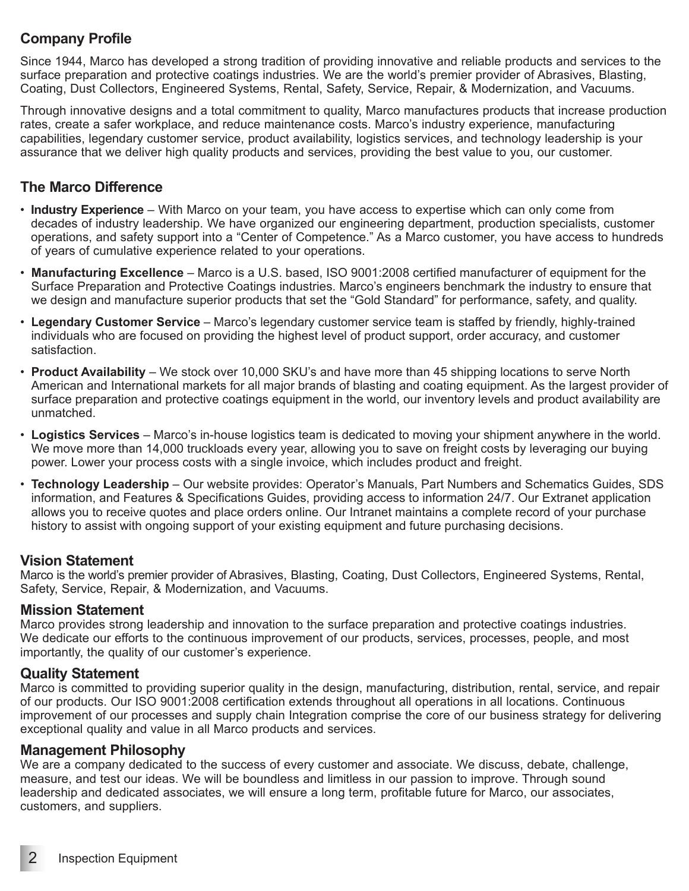#### **Company Profile**

Since 1944, Marco has developed a strong tradition of providing innovative and reliable products and services to the surface preparation and protective coatings industries. We are the world's premier provider of Abrasives, Blasting, Coating, Dust Collectors, Engineered Systems, Rental, Safety, Service, Repair, & Modernization, and Vacuums.

Through innovative designs and a total commitment to quality, Marco manufactures products that increase production rates, create a safer workplace, and reduce maintenance costs. Marco's industry experience, manufacturing capabilities, legendary customer service, product availability, logistics services, and technology leadership is your assurance that we deliver high quality products and services, providing the best value to you, our customer.

#### **The Marco Difference**

- **Industry Experience** With Marco on your team, you have access to expertise which can only come from decades of industry leadership. We have organized our engineering department, production specialists, customer operations, and safety support into a "Center of Competence." As a Marco customer, you have access to hundreds of years of cumulative experience related to your operations.
- **Manufacturing Excellence** Marco is a U.S. based, ISO 9001:2008 certified manufacturer of equipment for the Surface Preparation and Protective Coatings industries. Marco's engineers benchmark the industry to ensure that we design and manufacture superior products that set the "Gold Standard" for performance, safety, and quality.
- **Legendary Customer Service** Marco's legendary customer service team is staffed by friendly, highly-trained individuals who are focused on providing the highest level of product support, order accuracy, and customer satisfaction.
- **Product Availability** We stock over 10,000 SKU's and have more than 45 shipping locations to serve North American and International markets for all major brands of blasting and coating equipment. As the largest provider of surface preparation and protective coatings equipment in the world, our inventory levels and product availability are unmatched.
- **Logistics Services** Marco's in-house logistics team is dedicated to moving your shipment anywhere in the world. We move more than 14,000 truckloads every year, allowing you to save on freight costs by leveraging our buying power. Lower your process costs with a single invoice, which includes product and freight.
- **Technology Leadership** Our website provides: Operator's Manuals, Part Numbers and Schematics Guides, SDS information, and Features & Specifications Guides, providing access to information 24/7. Our Extranet application allows you to receive quotes and place orders online. Our Intranet maintains a complete record of your purchase history to assist with ongoing support of your existing equipment and future purchasing decisions.

#### **Vision Statement**

Marco is the world's premier provider of Abrasives, Blasting, Coating, Dust Collectors, Engineered Systems, Rental, Safety, Service, Repair, & Modernization, and Vacuums.

#### **Mission Statement**

Marco provides strong leadership and innovation to the surface preparation and protective coatings industries. We dedicate our efforts to the continuous improvement of our products, services, processes, people, and most importantly, the quality of our customer's experience.

#### **Quality Statement**

Marco is committed to providing superior quality in the design, manufacturing, distribution, rental, service, and repair of our products. Our ISO 9001:2008 certification extends throughout all operations in all locations. Continuous improvement of our processes and supply chain Integration comprise the core of our business strategy for delivering exceptional quality and value in all Marco products and services.

#### **Management Philosophy**

We are a company dedicated to the success of every customer and associate. We discuss, debate, challenge, measure, and test our ideas. We will be boundless and limitless in our passion to improve. Through sound leadership and dedicated associates, we will ensure a long term, profitable future for Marco, our associates, customers, and suppliers.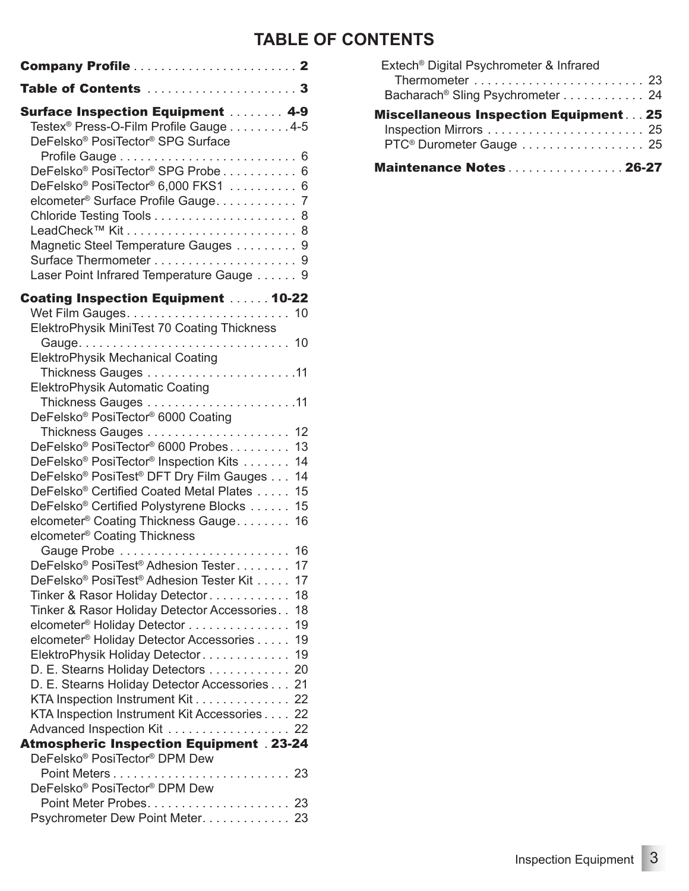#### **TABLE OF CONTENTS**

| <b>Surface Inspection Equipment  4-9</b>                                    |   |
|-----------------------------------------------------------------------------|---|
| Testex <sup>®</sup> Press-O-Film Profile Gauge 4-5                          |   |
| DeFelsko® PosiTector® SPG Surface                                           |   |
| DeFelsko <sup>®</sup> PosiTector <sup>®</sup> SPG Probe 6                   |   |
| DeFelsko <sup>®</sup> PosiTector <sup>®</sup> 6,000 FKS1  6                 |   |
| elcometer <sup>®</sup> Surface Profile Gauge 7                              |   |
|                                                                             |   |
|                                                                             |   |
| Magnetic Steel Temperature Gauges 9                                         |   |
|                                                                             | 9 |
| Laser Point Infrared Temperature Gauge 9                                    |   |
| <b>Coating Inspection Equipment  10-22</b>                                  |   |
| ElektroPhysik MiniTest 70 Coating Thickness                                 |   |
|                                                                             |   |
| <b>ElektroPhysik Mechanical Coating</b>                                     |   |
|                                                                             |   |
| <b>ElektroPhysik Automatic Coating</b>                                      |   |
|                                                                             |   |
| DeFelsko® PosiTector® 6000 Coating<br>12                                    |   |
| DeFelsko <sup>®</sup> PosiTector <sup>®</sup> 6000 Probes<br>13             |   |
| DeFelsko <sup>®</sup> PosiTector <sup>®</sup> Inspection Kits<br>14         |   |
| DeFelsko <sup>®</sup> PosiTest <sup>®</sup> DFT Dry Film Gauges<br>14       |   |
| DeFelsko® Certified Coated Metal Plates<br>15                               |   |
| DeFelsko <sup>®</sup> Certified Polystyrene Blocks<br>15                    |   |
| elcometer <sup>®</sup> Coating Thickness Gauge.<br>16                       |   |
| elcometer <sup>®</sup> Coating Thickness                                    |   |
| DeFelsko <sup>®</sup> PosiTest <sup>®</sup> Adhesion Tester<br>17           |   |
| DeFelsko <sup>®</sup> PosiTest <sup>®</sup> Adhesion Tester Kit<br>17       |   |
| Tinker & Rasor Holiday Detector<br>18                                       |   |
| Tinker & Rasor Holiday Detector Accessories<br>18                           |   |
| 19<br>elcometer <sup>®</sup> Holiday Detector                               |   |
| elcometer <sup>®</sup> Holiday Detector Accessories<br>19                   |   |
| ElektroPhysik Holiday Detector<br>19                                        |   |
| D. E. Stearns Holiday Detectors 20                                          |   |
| D. E. Stearns Holiday Detector Accessories 21                               |   |
| KTA Inspection Instrument Kit 22                                            |   |
| KTA Inspection Instrument Kit Accessories 22<br>Advanced Inspection Kit  22 |   |
| <b>Atmospheric Inspection Equipment . 23-24</b>                             |   |
| DeFelsko® PosiTector® DPM Dew                                               |   |
|                                                                             |   |
| DeFelsko® PosiTector® DPM Dew                                               |   |
|                                                                             |   |
| Psychrometer Dew Point Meter. 23                                            |   |

| Maintenance Notes26-27                                                             |
|------------------------------------------------------------------------------------|
| <b>Miscellaneous Inspection Equipment25</b><br>PTC <sup>®</sup> Durometer Gauge 25 |
|                                                                                    |
| Bacharach <sup>®</sup> Sling Psychrometer 24                                       |
|                                                                                    |
| Extech <sup>®</sup> Digital Psychrometer & Infrared                                |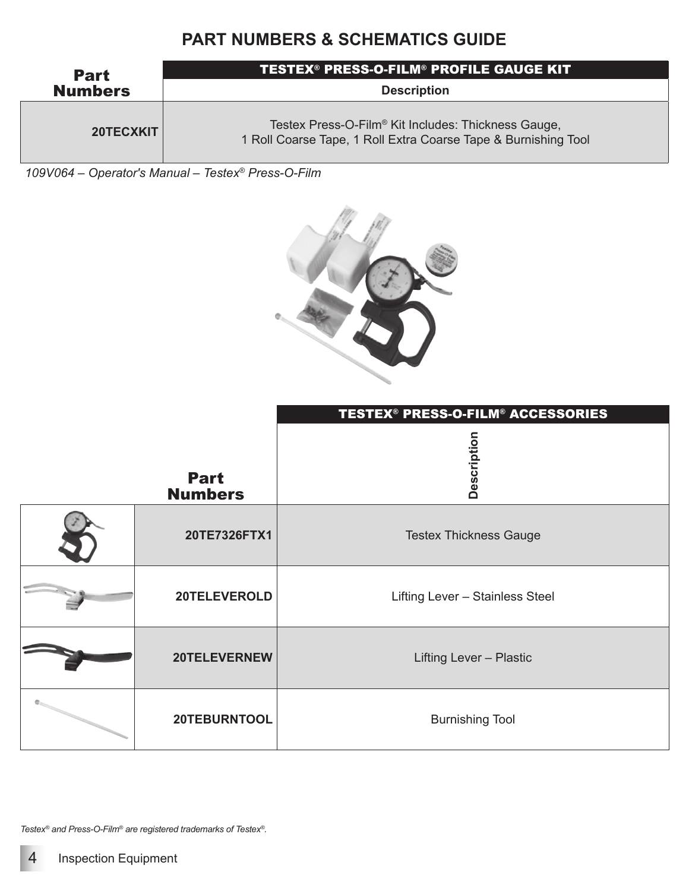

*109V064 – Operator's Manual – Testex® Press-O-Film* 



|                               | TESTEX® PRESS-O-FILM® ACCESSORIES |
|-------------------------------|-----------------------------------|
| <b>Part</b><br><b>Numbers</b> | Description                       |
| 20TE7326FTX1                  | <b>Testex Thickness Gauge</b>     |
| 20TELEVEROLD                  | Lifting Lever - Stainless Steel   |
| 20TELEVERNEW                  | Lifting Lever - Plastic           |
| 20TEBURNTOOL                  | <b>Burnishing Tool</b>            |

*Testex® and Press-O-Film® are registered trademarks of Testex®.*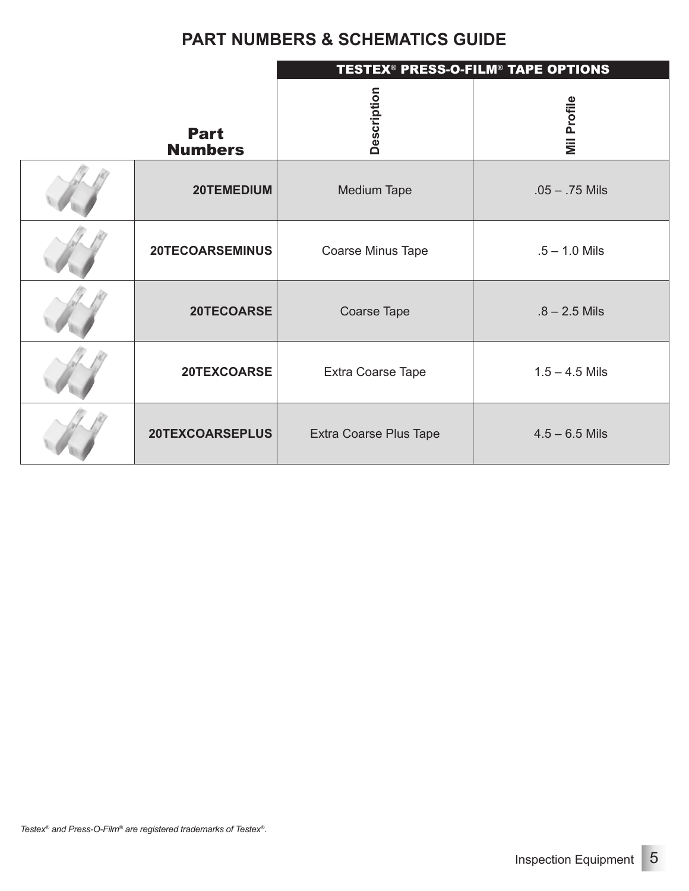|                               | <b>TESTEX<sup>®</sup> PRESS-O-FILM<sup>®</sup> TAPE OPTIONS</b> |                    |  |  |
|-------------------------------|-----------------------------------------------------------------|--------------------|--|--|
| <b>Part</b><br><b>Numbers</b> | Description                                                     | <b>Mil Profile</b> |  |  |
| 20TEMEDIUM                    | <b>Medium Tape</b>                                              | $.05 - .75$ Mils   |  |  |
| 20TECOARSEMINUS               | Coarse Minus Tape                                               | $.5 - 1.0$ Mils    |  |  |
| 20TECOARSE                    | Coarse Tape                                                     | $.8 - 2.5$ Mils    |  |  |
| 20TEXCOARSE                   | Extra Coarse Tape                                               | $1.5 - 4.5$ Mils   |  |  |
| 20TEXCOARSEPLUS               | Extra Coarse Plus Tape                                          | $4.5 - 6.5$ Mils   |  |  |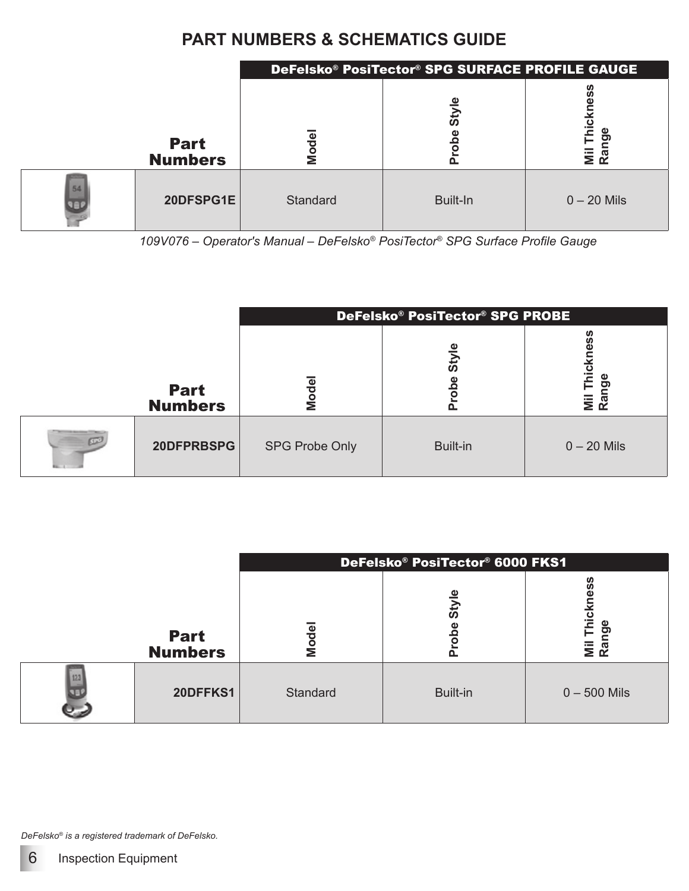|                               | DeFelsko® PosiTector® SPG SURFACE PROFILE GAUGE |          |                             |  |
|-------------------------------|-------------------------------------------------|----------|-----------------------------|--|
| <b>Part</b><br><b>Numbers</b> | Φ<br>ਠੂ<br>Ź                                    | ω<br>ູ້ສ | Mil Thio<br>apu<br><u>ಸ</u> |  |
| 20DFSPG1E                     | Standard                                        | Built-In | $0 - 20$ Mils               |  |

*109V076 – Operator's Manual – DeFelsko® PosiTector® SPG Surface Profile Gauge*

|                               | DeFelsko® PosiTector® SPG PROBE |                |                     |  |
|-------------------------------|---------------------------------|----------------|---------------------|--|
| <b>Part</b><br><b>Numbers</b> | Φ<br>Mod<br>                    | ω<br><u>ທັ</u> | Φ<br>ත<br>)<br>ลิลิ |  |
| 20DFPRBSPG                    | <b>SPG Probe Only</b>           | Built-in       | $0 - 20$ Mils       |  |

|                               | DeFelsko® PosiTector® 6000 FKS1 |          |                                    |  |
|-------------------------------|---------------------------------|----------|------------------------------------|--|
| <b>Part</b><br><b>Numbers</b> | ode<br>Σž                       | άp<br>n. | Thicl<br><b>go</b><br>$Mii$<br>Rar |  |
| 20DFFKS1                      | Standard                        | Built-in | $0 - 500$ Mils                     |  |

*DeFelsko® is a registered trademark of DeFelsko.*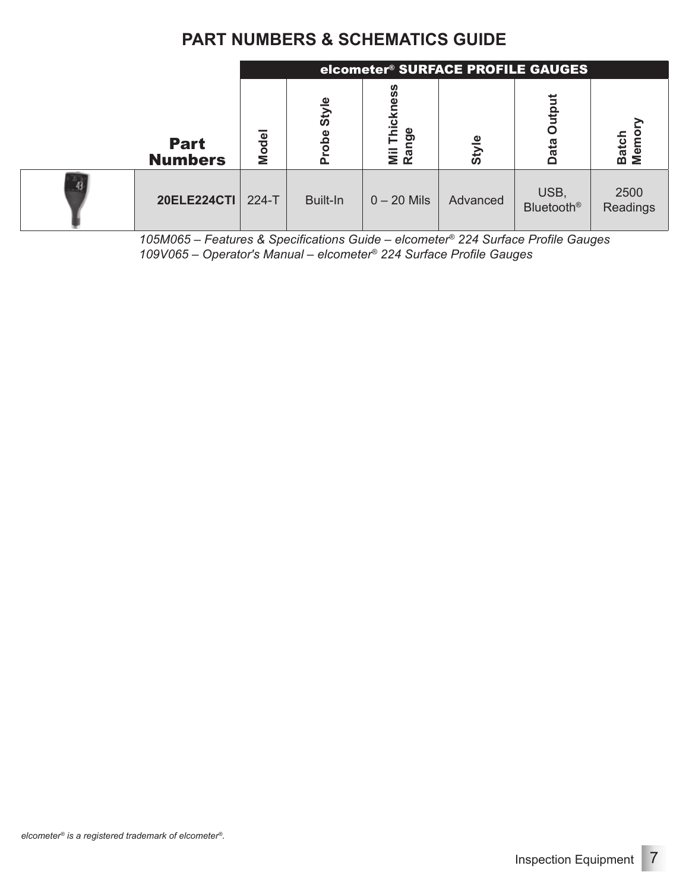|    |                               |         | elcometer <sup>®</sup> SURFACE PROFILE GAUGES |                                              |              |                           |                  |
|----|-------------------------------|---------|-----------------------------------------------|----------------------------------------------|--------------|---------------------------|------------------|
|    | <b>Part</b><br><b>Numbers</b> | Model   | Φ                                             | ഗ<br>ഗ<br>ω<br>icki<br>Φ<br>פֵּ<br>i≣<br>Rai | <b>Style</b> | ত                         | Batch<br>Memo    |
| 43 | <b>20ELE224CTI</b>            | $224-T$ | Built-In                                      | $0 - 20$ Mils                                | Advanced     | USB,<br><b>Bluetooth®</b> | 2500<br>Readings |

*105M065 – Features & Specifications Guide – elcometer® 224 Surface Profile Gauges 109V065 – Operator's Manual – elcometer® 224 Surface Profile Gauges*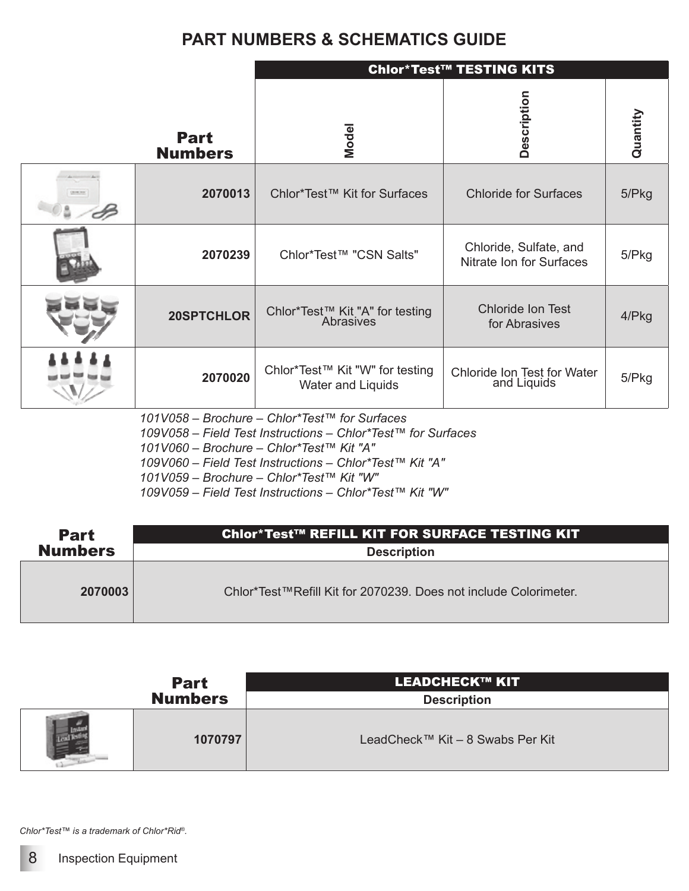|                               | <b>Chlor*Test™ TESTING KITS</b>                      |                                                    |          |  |
|-------------------------------|------------------------------------------------------|----------------------------------------------------|----------|--|
| <b>Part</b><br><b>Numbers</b> | <b>Model</b>                                         | Description                                        | Quantity |  |
| 2070013                       | Chlor*Test™ Kit for Surfaces                         | <b>Chloride for Surfaces</b>                       | 5/Pkg    |  |
| 2070239                       | Chlor*Test™ "CSN Salts"                              | Chloride, Sulfate, and<br>Nitrate Ion for Surfaces | 5/Pkg    |  |
| 20SPTCHLOR                    | Chlor*Test™ Kit "A" for testing<br>Abrasives         | <b>Chloride Ion Test</b><br>for Abrasives          | 4/Pkg    |  |
| 2070020                       | Chlor*Test™ Kit "W" for testing<br>Water and Liquids | Chloride Ion Test for Water<br>and Liquids         | 5/Pkg    |  |
|                               | $1011/058$ - Brochure - Chlor*Test $M$ for Surfaces  |                                                    |          |  |

*101V058 – Brochure – Chlor\*Test™ for Surfaces*

*109V058 – Field Test Instructions – Chlor\*Test™ for Surfaces*

*101V060 – Brochure – Chlor\*Test™ Kit "A"*

*109V060 – Field Test Instructions – Chlor\*Test™ Kit "A"*

*101V059 – Brochure – Chlor\*Test™ Kit "W"*

*109V059 – Field Test Instructions – Chlor\*Test™ Kit "W"*

| <b>Part</b>    | Chlor*Test™ REFILL KIT FOR SURFACE TESTING KIT                   |
|----------------|------------------------------------------------------------------|
| <b>Numbers</b> | <b>Description</b>                                               |
| 2070003        | Chlor*Test™Refill Kit for 2070239. Does not include Colorimeter. |

| <b>Part</b>    | <b>LEADCHECK™ KIT</b>            |
|----------------|----------------------------------|
| <b>Numbers</b> | <b>Description</b>               |
| 1070797        | LeadCheck™ Kit – 8 Swabs Per Kit |

*Chlor\*Test™ is a trademark of Chlor\*Rid®.*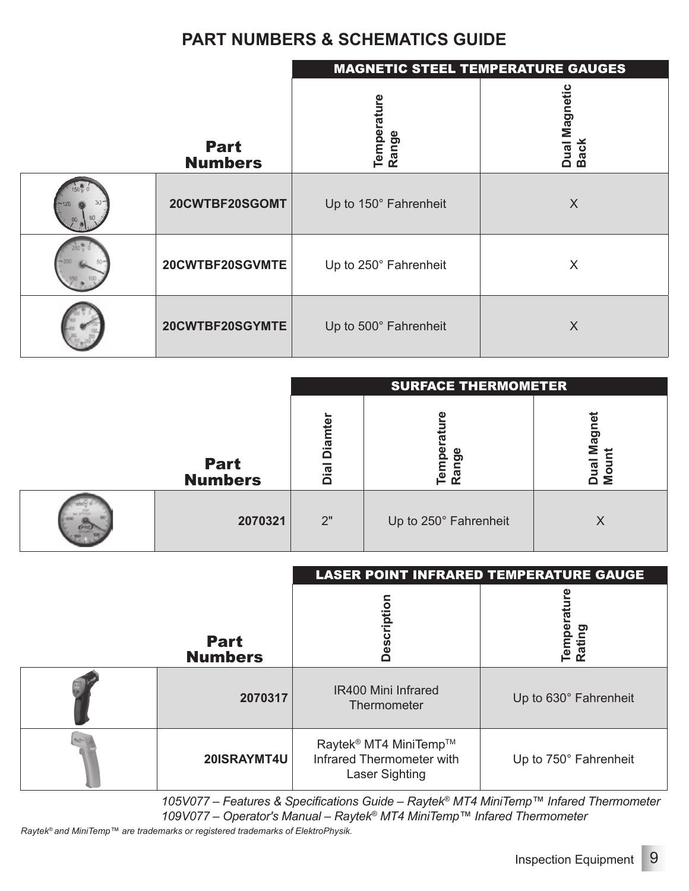|                               | <b>MAGNETIC STEEL TEMPERATURE GAUGES</b> |                              |  |  |
|-------------------------------|------------------------------------------|------------------------------|--|--|
| <b>Part</b><br><b>Numbers</b> | Temperature<br>Range                     | Dual Magnetic<br><b>Back</b> |  |  |
| 20CWTBF20SGOMT                | Up to 150° Fahrenheit                    | X                            |  |  |
| 20CWTBF20SGVMTE               | Up to 250° Fahrenheit                    | X                            |  |  |
| 20CWTBF20SGYMTE               | Up to 500° Fahrenheit                    | X                            |  |  |

|                               | <b>SURFACE THERMOMETER</b> |                       |                   |  |  |  |  |
|-------------------------------|----------------------------|-----------------------|-------------------|--|--|--|--|
| <b>Part</b><br><b>Numbers</b> | ഉ<br>Diar<br>Dial          | <u>ဗ</u><br>ē٣<br>Ran | ω<br>ටා<br>፵<br>Σ |  |  |  |  |
| 2070321                       | 2"                         | Up to 250° Fahrenheit |                   |  |  |  |  |

|                               | <b>LASER POINT INFRARED TEMPERATURE GAUGE</b>                                           |                       |  |  |  |
|-------------------------------|-----------------------------------------------------------------------------------------|-----------------------|--|--|--|
| <b>Part</b><br><b>Numbers</b> | Description                                                                             | တ<br>Temp<br>Ratin    |  |  |  |
| 2070317                       | IR400 Mini Infrared<br>Thermometer                                                      | Up to 630° Fahrenheit |  |  |  |
| 20ISRAYMT4U                   | Raytek <sup>®</sup> MT4 MiniTemp™<br>Infrared Thermometer with<br><b>Laser Sighting</b> | Up to 750° Fahrenheit |  |  |  |

*105V077 – Features & Specifications Guide – Raytek® MT4 MiniTemp™ Infared Thermometer 109V077 – Operator's Manual – Raytek® MT4 MiniTemp™ Infared Thermometer*

*Raytek® and MiniTemp™ are trademarks or registered trademarks of ElektroPhysik.*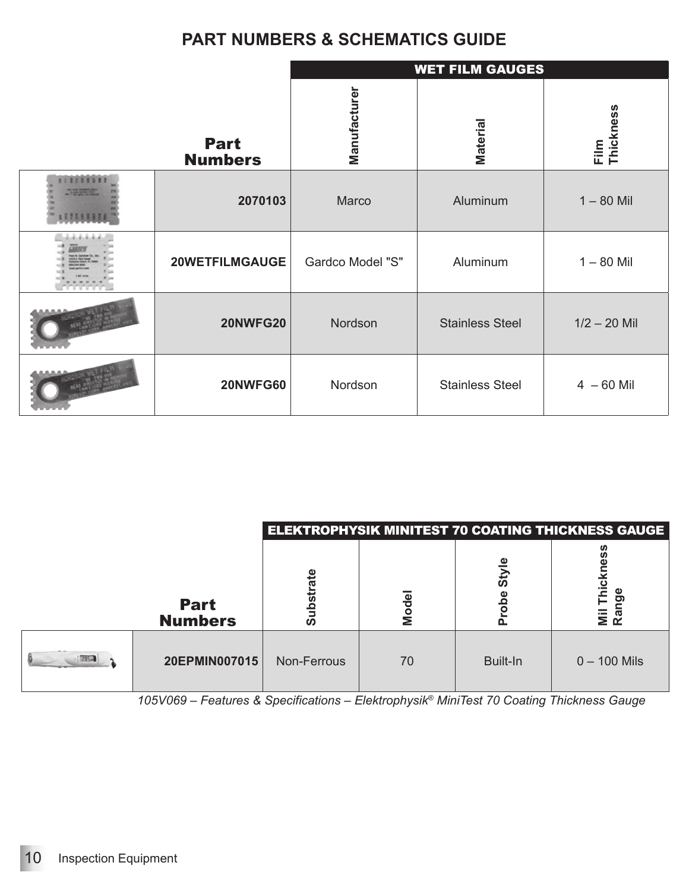|                               | <b>WET FILM GAUGES</b> |                        |                      |  |  |  |
|-------------------------------|------------------------|------------------------|----------------------|--|--|--|
| <b>Part</b><br><b>Numbers</b> | Manufacturer           | Material               | Thickness<br>$E$ ilm |  |  |  |
| 2070103                       | Marco                  | Aluminum               | $1 - 80$ Mil         |  |  |  |
| 20WETFILMGAUGE                | Gardco Model "S"       | Aluminum               | $1 - 80$ Mil         |  |  |  |
| <b>20NWFG20</b>               | Nordson                | <b>Stainless Steel</b> | $1/2 - 20$ Mil       |  |  |  |
| <b>20NWFG60</b>               | Nordson                | <b>Stainless Steel</b> | $4 - 60$ Mil         |  |  |  |

|                               | <b>ELEKTROPHYSIK MINITEST 70 COATING THICKNESS GAUGE</b> |       |          |                          |  |  |  |
|-------------------------------|----------------------------------------------------------|-------|----------|--------------------------|--|--|--|
| <b>Part</b><br><b>Numbers</b> | ഗ                                                        | Model | ັທ       | $\bar{\bar{\mathbf{s}}}$ |  |  |  |
| 20EPMIN007015                 | Non-Ferrous                                              | 70    | Built-In | $0 - 100$ Mils           |  |  |  |

*105V069 – Features & Specifications – Elektrophysik® MiniTest 70 Coating Thickness Gauge*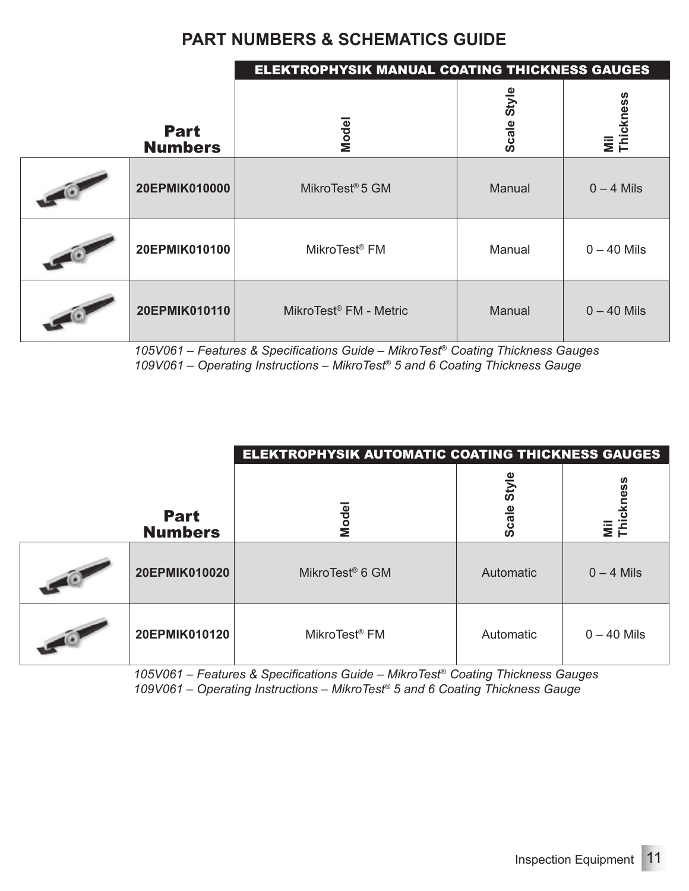|                               | <b>ELEKTROPHYSIK MANUAL COATING THICKNESS GAUGES</b> |             |                  |
|-------------------------------|------------------------------------------------------|-------------|------------------|
| <b>Part</b><br><b>Numbers</b> | Model                                                | Scale Style | Mil<br>Thickness |
| 20EPMIK010000                 | MikroTest <sup>®</sup> 5 GM                          | Manual      | $0 - 4$ Mils     |
| 20EPMIK010100                 | MikroTest <sup>®</sup> FM                            | Manual      | $0 - 40$ Mils    |
| 20EPMIK010110                 | MikroTest <sup>®</sup> FM - Metric                   | Manual      | $0 - 40$ Mils    |

*105V061 – Features & Specifications Guide – MikroTest® Coating Thickness Gauges 109V061 – Operating Instructions – MikroTest® 5 and 6 Coating Thickness Gauge*

|                               | <b>ELEKTROPHYSIK AUTOMATIC COATING THICKNESS GAUGES</b> |                |                          |  |  |
|-------------------------------|---------------------------------------------------------|----------------|--------------------------|--|--|
| <b>Part</b><br><b>Numbers</b> | Model                                                   | Style<br>Scale | Öθ<br>Φ<br>Mil<br>Thickr |  |  |
| 20EPMIK010020                 | MikroTest <sup>®</sup> 6 GM                             | Automatic      | $0 - 4$ Mils             |  |  |
| 20EPMIK010120                 | MikroTest <sup>®</sup> FM                               | Automatic      | $0 - 40$ Mils            |  |  |

*105V061 – Features & Specifications Guide – MikroTest® Coating Thickness Gauges 109V061 – Operating Instructions – MikroTest® 5 and 6 Coating Thickness Gauge*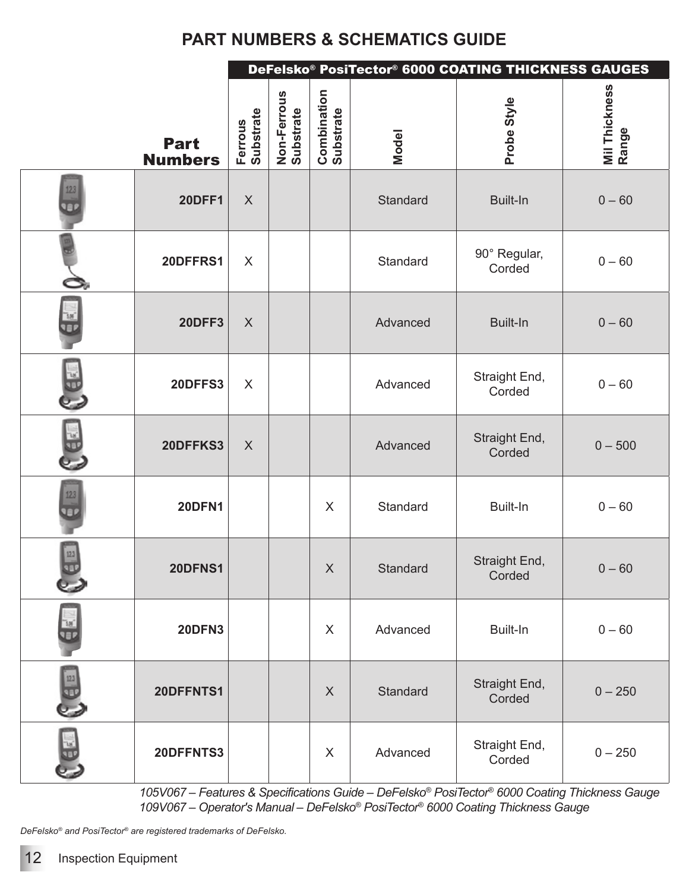|                   | DeFelsko® PosiTector® 6000 COATING THICKNESS GAUGES |                      |                          |                                 |          |                         |                        |
|-------------------|-----------------------------------------------------|----------------------|--------------------------|---------------------------------|----------|-------------------------|------------------------|
|                   | <b>Part</b><br><b>Numbers</b>                       | Ferrous<br>Substrate | Non-Ferrous<br>Substrate | <b>Combination</b><br>Substrate | Model    | Probe Style             | Mil Thickness<br>Range |
| 123<br><b>ver</b> | <b>20DFF1</b>                                       | $\mathsf{X}$         |                          |                                 | Standard | <b>Built-In</b>         | $0 - 60$               |
|                   | 20DFFRS1                                            | $\sf X$              |                          |                                 | Standard | 90° Regular,<br>Corded  | $0 - 60$               |
|                   | 20DFF3                                              | $\mathsf{X}$         |                          |                                 | Advanced | <b>Built-In</b>         | $0 - 60$               |
| $\frac{1}{2}$     | 20DFFS3                                             | X                    |                          |                                 | Advanced | Straight End,<br>Corded | $0 - 60$               |
| 長野                | 20DFFKS3                                            | $\boldsymbol{X}$     |                          |                                 | Advanced | Straight End,<br>Corded | $0 - 500$              |
| 123               | <b>20DFN1</b>                                       |                      |                          | $\times$                        | Standard | Built-In                | $0 - 60$               |
| $12.3$<br>巴       | 20DFNS1                                             |                      |                          | X                               | Standard | Straight End,<br>Corded | $0 - 60$               |
|                   | <b>20DFN3</b>                                       |                      |                          | $\sf X$                         | Advanced | Built-In                | $0 - 60$               |
| $\frac{123}{9.5}$ | 20DFFNTS1                                           |                      |                          | $\sf X$                         | Standard | Straight End,<br>Corded | $0 - 250$              |
| $\frac{1}{2}$     | 20DFFNTS3                                           |                      |                          | X                               | Advanced | Straight End,<br>Corded | $0 - 250$              |

*105V067 – Features & Specifications Guide – DeFelsko® PosiTector® 6000 Coating Thickness Gauge 109V067 – Operator's Manual – DeFelsko® PosiTector® 6000 Coating Thickness Gauge*

*DeFelsko® and PosiTector® are registered trademarks of DeFelsko.*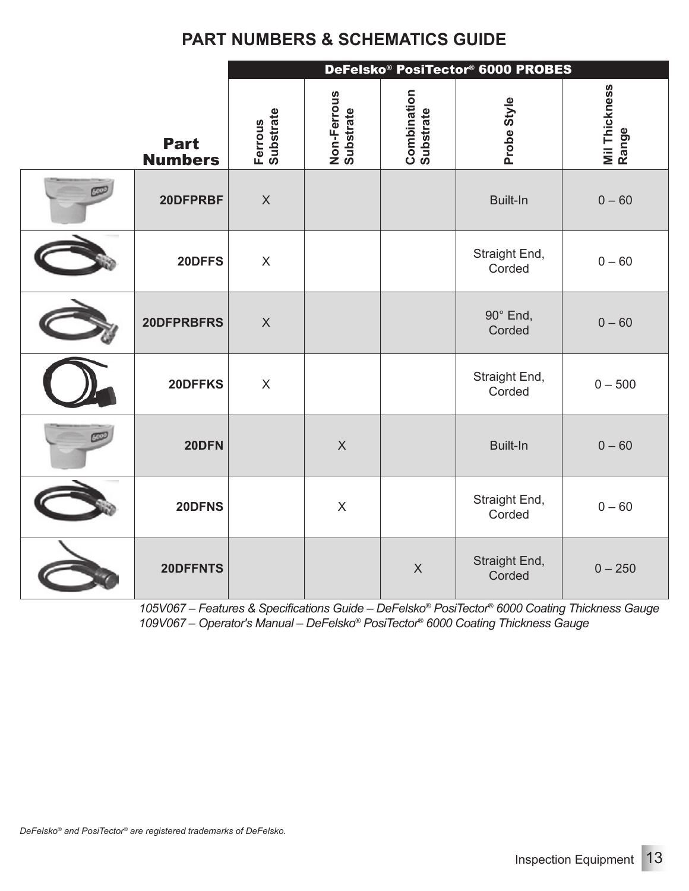|                               |                           | DeFelsko® PosiTector® 6000 PROBES |                                 |                         |                        |  |  |  |  |
|-------------------------------|---------------------------|-----------------------------------|---------------------------------|-------------------------|------------------------|--|--|--|--|
| <b>Part</b><br><b>Numbers</b> | Ferrous<br>Substrate      | Non-Ferrous<br>Substrate          | <b>Combination</b><br>Substrate | Probe Style             | Mil Thickness<br>Range |  |  |  |  |
| 20DFPRBF                      | $\mathsf{X}$              |                                   |                                 | <b>Built-In</b>         | $0 - 60$               |  |  |  |  |
| 20DFFS                        | $\mathsf{X}$              |                                   |                                 | Straight End,<br>Corded | $0 - 60$               |  |  |  |  |
| 20DFPRBFRS                    | $\boldsymbol{\mathsf{X}}$ |                                   |                                 | 90° End,<br>Corded      | $0 - 60$               |  |  |  |  |
| 20DFFKS                       | $\mathsf X$               |                                   |                                 | Straight End,<br>Corded | $0 - 500$              |  |  |  |  |
| 20DFN                         |                           | $\mathsf{X}$                      |                                 | Built-In                | $0 - 60$               |  |  |  |  |
| 20DFNS                        |                           | $\mathsf{X}$                      |                                 | Straight End,<br>Corded | $0 - 60$               |  |  |  |  |
| 20DFFNTS                      |                           |                                   | $\mathsf X$                     | Straight End,<br>Corded | $0 - 250$              |  |  |  |  |

*105V067 – Features & Specifications Guide – DeFelsko® PosiTector® 6000 Coating Thickness Gauge 109V067 – Operator's Manual – DeFelsko® PosiTector® 6000 Coating Thickness Gauge*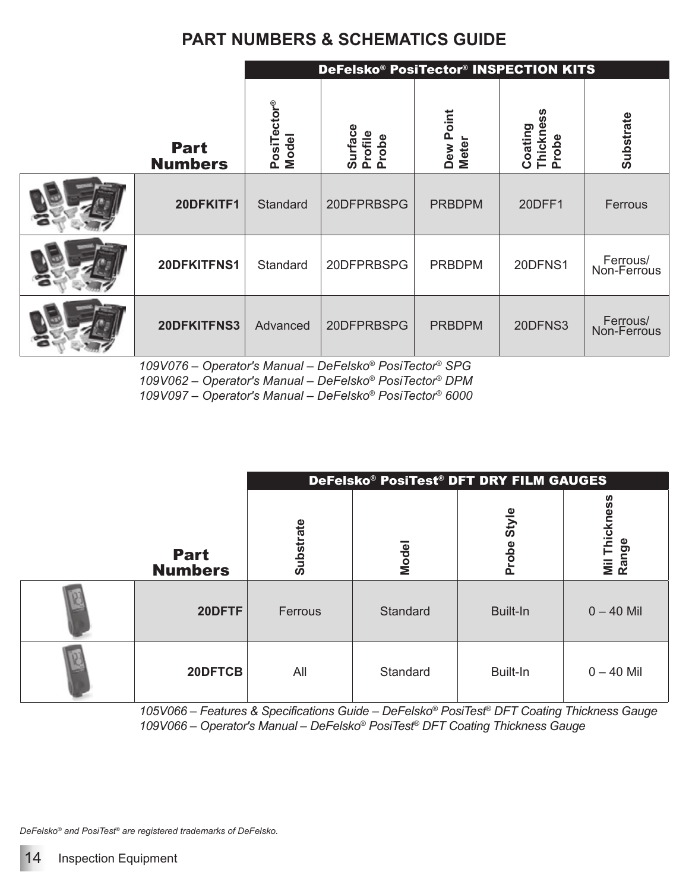|                               |                      | DeFelsko® PosiTector® INSPECTION KITS |                                          |                               |                         |  |  |  |
|-------------------------------|----------------------|---------------------------------------|------------------------------------------|-------------------------------|-------------------------|--|--|--|
| <b>Part</b><br><b>Numbers</b> | PosiTector®<br>Model | Surface<br>Profile<br>Probe           | oint<br><u>آه</u><br><b>Meter</b><br>Dew | Thickness<br>Coating<br>Probe | <b>Substrate</b>        |  |  |  |
| 20DFKITF1                     | Standard             | 20DFPRBSPG                            | <b>PRBDPM</b>                            | 20DFF1                        | Ferrous                 |  |  |  |
| 20DFKITFNS1                   | Standard             | 20DFPRBSPG                            | <b>PRBDPM</b>                            | 20DFNS1                       | Ferrous/<br>Non-Ferrous |  |  |  |
| 20DFKITFNS3                   | Advanced             | 20DFPRBSPG                            | <b>PRBDPM</b>                            | 20DFNS3                       | Ferrous/<br>Non-Ferrous |  |  |  |

*109V076 – Operator's Manual – DeFelsko® PosiTector® SPG*

*109V062 – Operator's Manual – DeFelsko® PosiTector® DPM*

*109V097 – Operator's Manual – DeFelsko® PosiTector® 6000*

|                               |                  |          | DeFelsko® PosiTest® DFT DRY FILM GAUGES |                        |
|-------------------------------|------------------|----------|-----------------------------------------|------------------------|
| <b>Part</b><br><b>Numbers</b> | <b>Substrate</b> | Model    | Style<br>Probe                          | Mil Thickness<br>Range |
| 20DFTF                        | Ferrous          | Standard | Built-In                                | $0 - 40$ Mil           |
| 20DFTCB                       | All              | Standard | Built-In                                | $0 - 40$ Mil           |

*105V066 – Features & Specifications Guide – DeFelsko® PosiTest® DFT Coating Thickness Gauge 109V066 – Operator's Manual – DeFelsko® PosiTest® DFT Coating Thickness Gauge*

*DeFelsko® and PosiTest® are registered trademarks of DeFelsko.*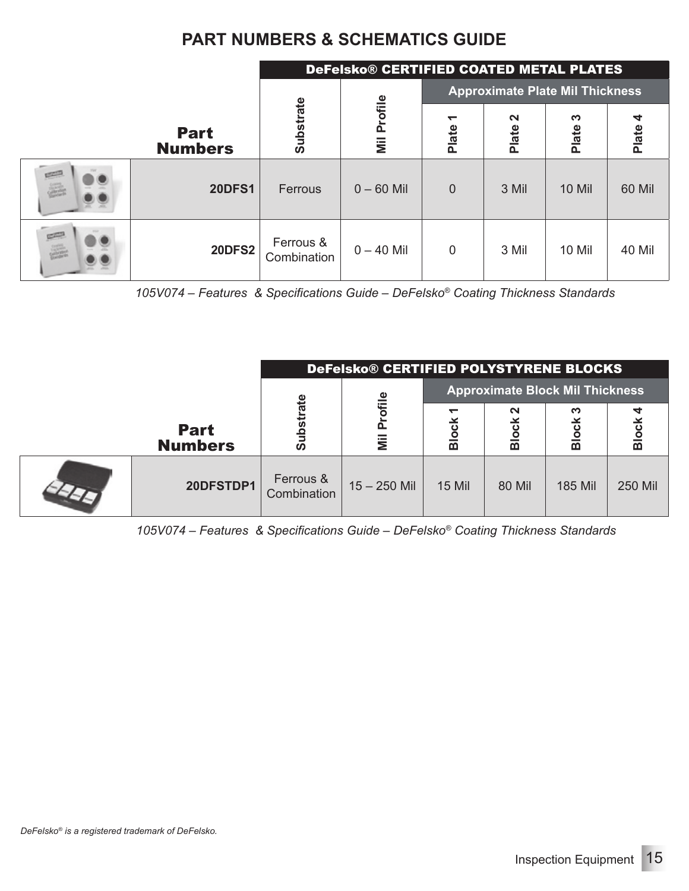|            |                               | DeFelsko® CERTIFIED COATED METAL PLATES |                           |                |                 |                                        |            |  |
|------------|-------------------------------|-----------------------------------------|---------------------------|----------------|-----------------|----------------------------------------|------------|--|
|            |                               |                                         |                           |                |                 | <b>Approximate Plate Mil Thickness</b> |            |  |
|            | <b>Part</b><br><b>Numbers</b> | <b>Substrate</b>                        | Profile<br>$\overline{m}$ | ↽<br>Plate     | $\sim$<br>Plate | က<br>Plate                             | 4<br>Plate |  |
| E          | <b>20DFS1</b>                 | Ferrous                                 | $0 - 60$ Mil              | $\overline{0}$ | 3 Mil           | <b>10 Mil</b>                          | 60 Mil     |  |
| $\sqrt{2}$ | <b>20DFS2</b>                 | Ferrous &<br>Combination                | $0 - 40$ Mil              | 0              | 3 Mil           | <b>10 Mil</b>                          | 40 Mil     |  |

*105V074 – Features & Specifications Guide – DeFelsko® Coating Thickness Standards* 

|                               | DeFelsko® CERTIFIED POLYSTYRENE BLOCKS |                        |               |               |                                        |                    |  |
|-------------------------------|----------------------------------------|------------------------|---------------|---------------|----------------------------------------|--------------------|--|
|                               |                                        |                        |               |               | <b>Approximate Block Mil Thickness</b> |                    |  |
| <b>Part</b><br><b>Numbers</b> | ate<br>o<br>ၐ                          | ofille<br>$\mathbf{a}$ | ပ<br>Blo      | $\sim$<br>靣   | ∾<br>ठ<br>Blo                          | ں<br>$\frac{1}{2}$ |  |
|                               |                                        |                        |               |               |                                        |                    |  |
| 20DFSTDP1                     | Ferrous &<br>Combination               | $15 - 250$ Mil         | <b>15 Mil</b> | <b>80 Mil</b> | <b>185 Mil</b>                         | <b>250 Mil</b>     |  |

*105V074 – Features & Specifications Guide – DeFelsko® Coating Thickness Standards*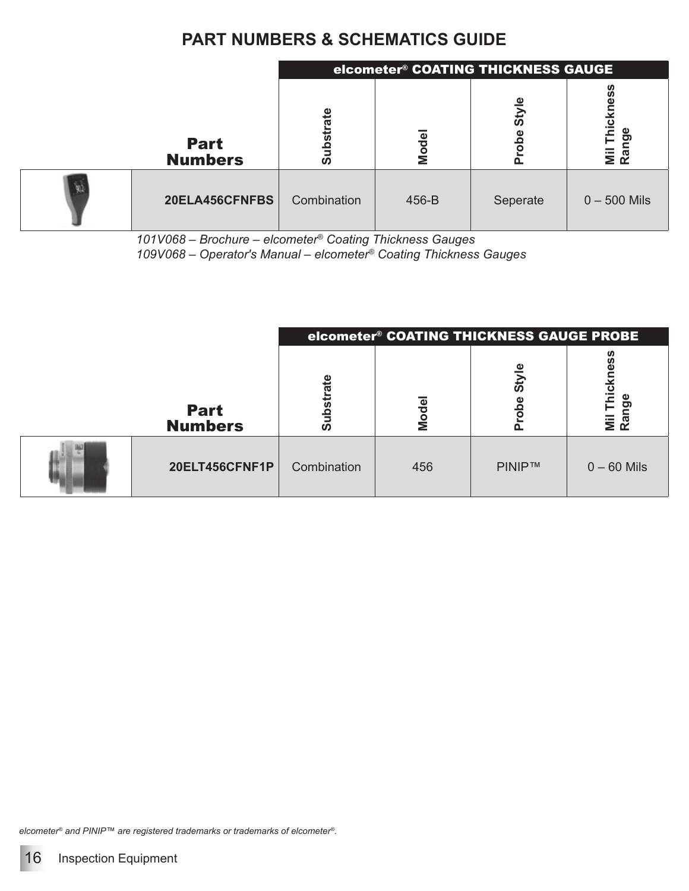|                               | elcometer <sup>®</sup> COATING THICKNESS GAUGE |       |          |                                                                   |  |  |  |
|-------------------------------|------------------------------------------------|-------|----------|-------------------------------------------------------------------|--|--|--|
| <b>Part</b><br><b>Numbers</b> | 은<br>ທ                                         | Model | ω<br>Sty | <b>S</b><br>۵<br>$\overline{\mathbf{e}}$<br>ဥ<br>⊢<br>Niil<br>Rar |  |  |  |
| 20ELA456CFNFBS                | Combination                                    | 456-B | Seperate | $0 - 500$ Mils                                                    |  |  |  |

*101V068 – Brochure – elcometer® Coating Thickness Gauges 109V068 – Operator's Manual – elcometer® Coating Thickness Gauges*

| elcometer® COATING THICKNESS GAUGE PROBE |             |       |               |                                                                                 |  |
|------------------------------------------|-------------|-------|---------------|---------------------------------------------------------------------------------|--|
| <b>Part</b><br><b>Numbers</b>            | ທ           | Model | άs<br>ă       | ທ<br>ω<br>$\frac{1}{2}$<br>Φ<br>$\overline{\mathbf{z}}$ $\overline{\mathbf{z}}$ |  |
| 20ELT456CFNF1P                           | Combination | 456   | <b>PINIP™</b> | $0 - 60$ Mils                                                                   |  |

*elcometer® and PINIP™ are registered trademarks or trademarks of elcometer®.*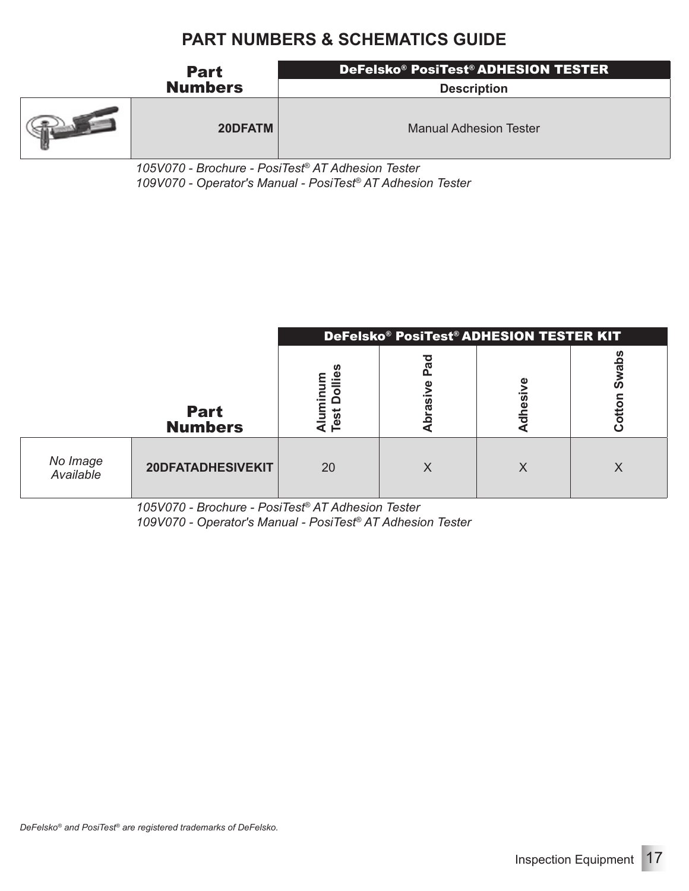| <b>Part</b>    | DeFelsko® PosiTest® ADHESION TESTER |
|----------------|-------------------------------------|
| <b>Numbers</b> | <b>Description</b>                  |
| 20DFATM        | <b>Manual Adhesion Tester</b>       |

*105V070 - Brochure - PosiTest® AT Adhesion Tester 109V070 - Operator's Manual - PosiTest® AT Adhesion Tester*

|                       | DeFelsko® PosiTest® ADHESION TESTER KIT |           |  |                |              |  |  |
|-----------------------|-----------------------------------------|-----------|--|----------------|--------------|--|--|
|                       | <b>Part</b><br><b>Numbers</b>           | å<br>Test |  | $\overline{O}$ | O<br>퓽<br>c١ |  |  |
| No Image<br>Available | 20DFATADHESIVEKIT                       | 20        |  |                |              |  |  |

*105V070 - Brochure - PosiTest® AT Adhesion Tester 109V070 - Operator's Manual - PosiTest® AT Adhesion Tester*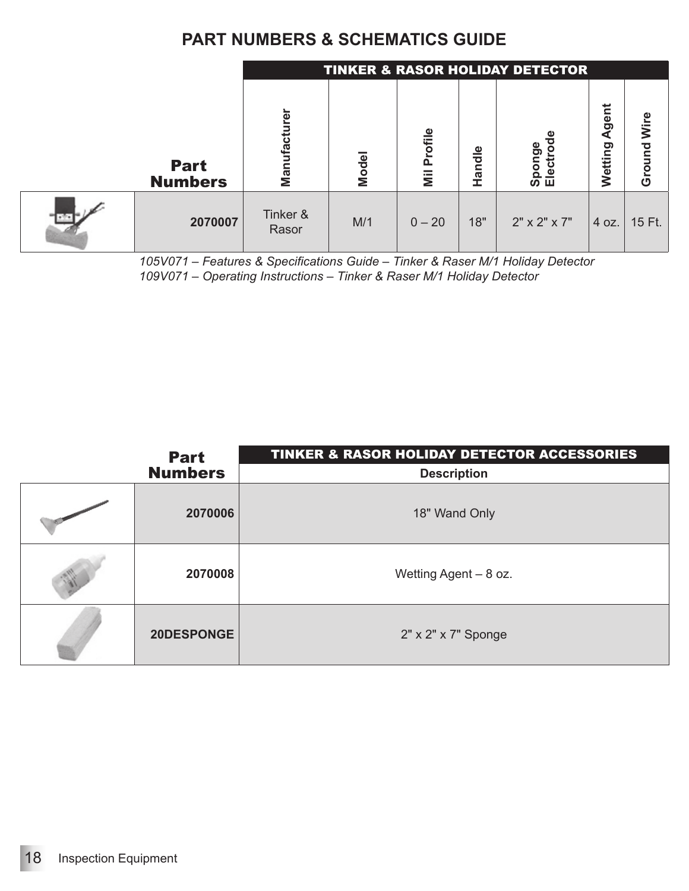|                               |                   | <b>TINKER &amp; RASOR HOLIDAY DETECTOR</b> |          |        |                               |                      |                |
|-------------------------------|-------------------|--------------------------------------------|----------|--------|-------------------------------|----------------------|----------------|
| <b>Part</b><br><b>Numbers</b> | Manufacturer      | Model                                      | Profile  | Handle | Φ<br>ē٥<br>ō<br>Φ<br>ō<br>ഗ ш | gent<br>₫<br>Wetting | Wire<br>Ground |
| 2070007                       | Tinker &<br>Rasor | M/1                                        | $0 - 20$ | 18"    | $2" \times 2" \times 7"$      | 4 oz.                | 15 Ft.         |

*<sup>105</sup>V071 – Features & Specifications Guide – Tinker & Raser M/1 Holiday Detector 109V071 – Operating Instructions – Tinker & Raser M/1 Holiday Detector*

| <b>Part</b>    | <b>TINKER &amp; RASOR HOLIDAY DETECTOR ACCESSORIES</b> |
|----------------|--------------------------------------------------------|
| <b>Numbers</b> | <b>Description</b>                                     |
| 2070006        | 18" Wand Only                                          |
| 2070008        | Wetting Agent - 8 oz.                                  |
| 20DESPONGE     | 2" x 2" x 7" Sponge                                    |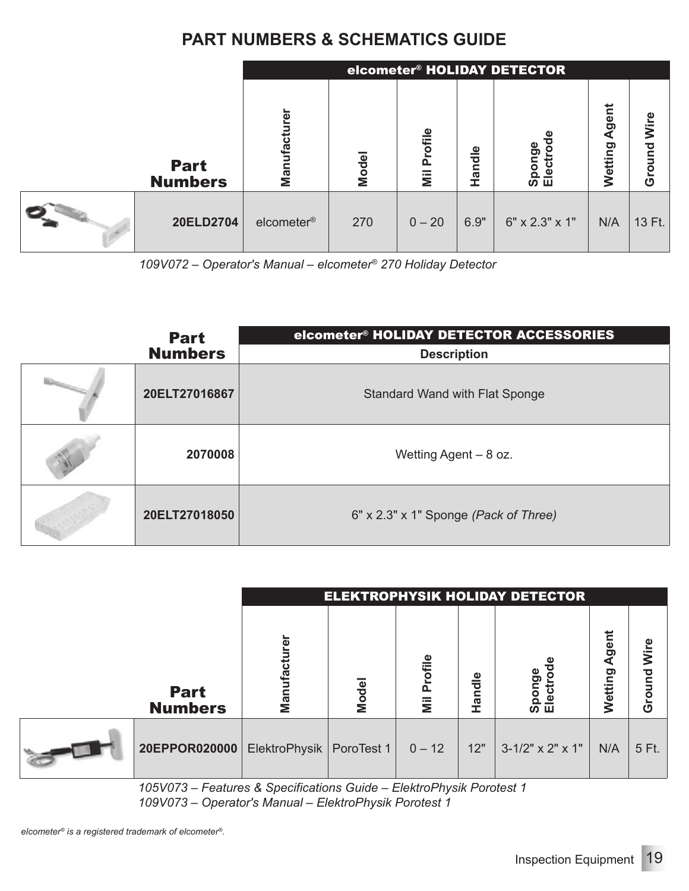|                               |                        | elcometer® HOLIDAY DETECTOR |          |        |                |                  |                |
|-------------------------------|------------------------|-----------------------------|----------|--------|----------------|------------------|----------------|
| <b>Part</b><br><b>Numbers</b> | čr<br>Manufactu        | Model                       | Profile  | Handle | ponge<br>ഗ ш   | Agent<br>Wetting | Wire<br>Ground |
| 20ELD2704                     | elcometer <sup>®</sup> | 270                         | $0 - 20$ | 6.9"   | 6" x 2.3" x 1" | N/A              | 13 Ft.         |

*109V072 – Operator's Manual – elcometer® 270 Holiday Detector*

| <b>Part</b>    | elcometer® HOLIDAY DETECTOR ACCESSORIES |
|----------------|-----------------------------------------|
| <b>Numbers</b> | <b>Description</b>                      |
| 20ELT27016867  | Standard Wand with Flat Sponge          |
| 2070008        | Wetting Agent $-8$ oz.                  |
| 20ELT27018050  | 6" x 2.3" x 1" Sponge (Pack of Three)   |

|                               |               | <b>ELEKTROPHYSIK HOLIDAY DETECTOR</b> |                   |        |                     |                 |                |
|-------------------------------|---------------|---------------------------------------|-------------------|--------|---------------------|-----------------|----------------|
| <b>Part</b><br><b>Numbers</b> | ō<br>Manı     | Model                                 | Φ<br><b>Tofil</b> | Handle | ponge<br>lecti      | gent<br>Wetting | Wire<br>Ground |
| 20EPPOR020000                 | ElektroPhysik | PoroTest 1                            | $0 - 12$          | 12"    | $3-1/2$ " x 2" x 1" | N/A             | 5 Ft.          |

*105V073 – Features & Specifications Guide – ElektroPhysik Porotest 1 109V073 – Operator's Manual – ElektroPhysik Porotest 1*

*elcometer® is a registered trademark of elcometer®.*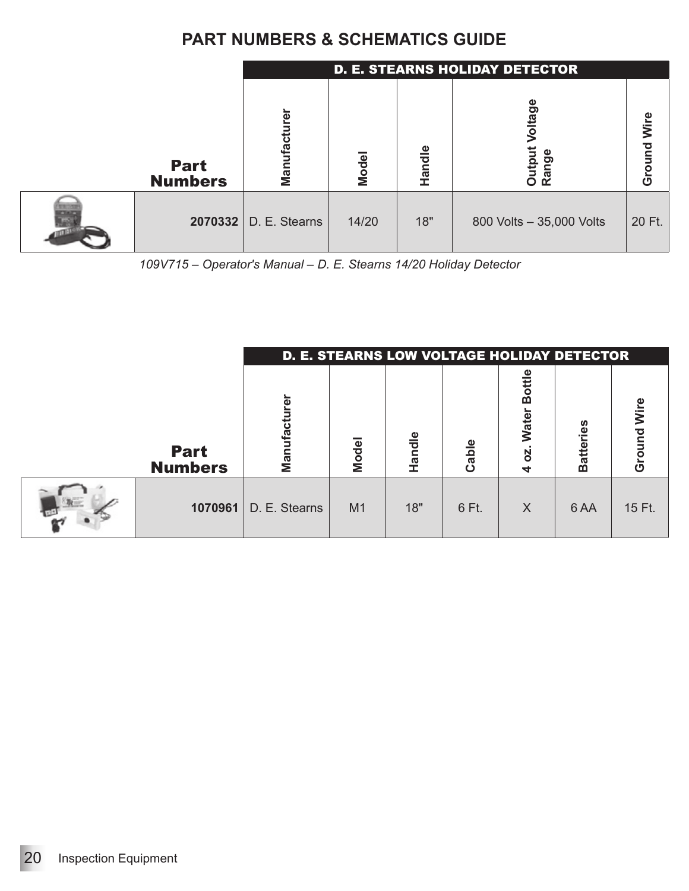|                               |                         | <b>D. E. STEARNS HOLIDAY DETECTOR</b> |        |                            |                |  |  |
|-------------------------------|-------------------------|---------------------------------------|--------|----------------------------|----------------|--|--|
| <b>Part</b><br><b>Numbers</b> | ğ<br>Manufact           | <b>Model</b>                          | Handle | tage<br>Range<br>utpi<br>ō | Wire<br>Ground |  |  |
|                               | $2070332$ D. E. Stearns | 14/20                                 | 18"    | 800 Volts - 35,000 Volts   | 20 Ft.         |  |  |

*<sup>109</sup>V715 – Operator's Manual – D. E. Stearns 14/20 Holiday Detector*

|                               |                | D. E. STEARNS LOW VOLTAGE HOLIDAY DETECTOR |        |       |                               |                  |                   |
|-------------------------------|----------------|--------------------------------------------|--------|-------|-------------------------------|------------------|-------------------|
| <b>Part</b><br><b>Numbers</b> | මු<br>Manufact | Model                                      | Handle | Cable | <b>Water</b><br><b>N</b><br>ⅎ | <b>Batteries</b> | ၑ<br>ξ<br>ਨ<br>ርካ |
| 1070961                       | D. E. Stearns  | M <sub>1</sub>                             | 18"    | 6 Ft. | $\times$                      | 6 AA             | 15 Ft.            |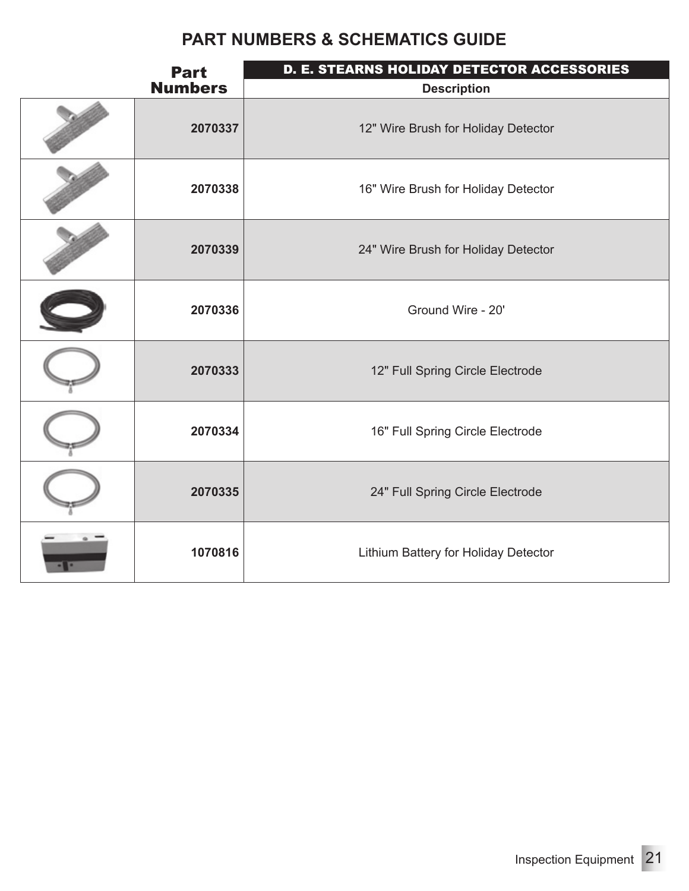| <b>Part</b>    | D. E. STEARNS HOLIDAY DETECTOR ACCESSORIES |
|----------------|--------------------------------------------|
| <b>Numbers</b> | <b>Description</b>                         |
| 2070337        | 12" Wire Brush for Holiday Detector        |
| 2070338        | 16" Wire Brush for Holiday Detector        |
| 2070339        | 24" Wire Brush for Holiday Detector        |
| 2070336        | Ground Wire - 20'                          |
| 2070333        | 12" Full Spring Circle Electrode           |
| 2070334        | 16" Full Spring Circle Electrode           |
| 2070335        | 24" Full Spring Circle Electrode           |
| 1070816        | Lithium Battery for Holiday Detector       |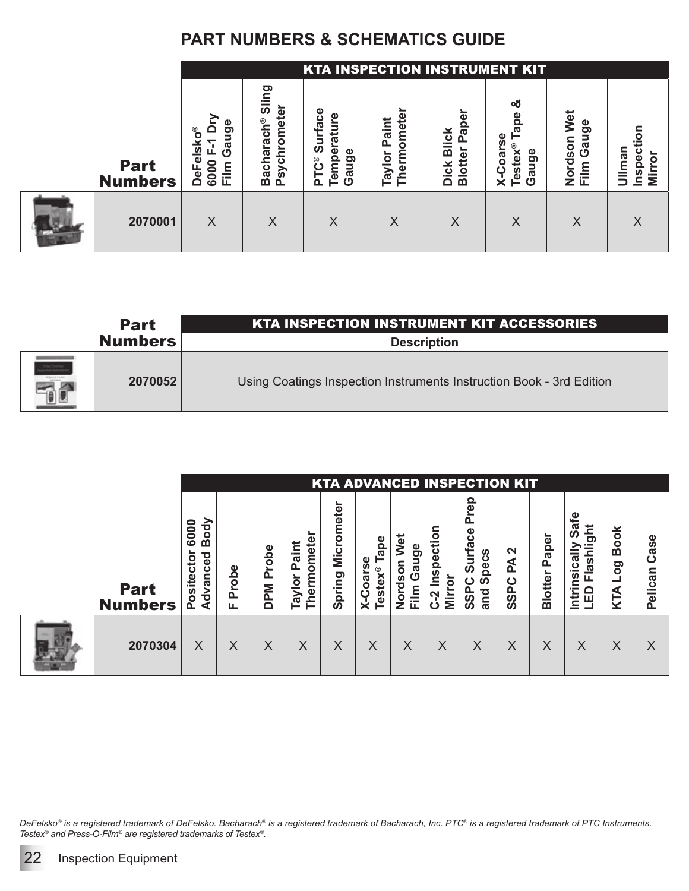|                               |                                                                                       |                                                                                                | <b>KTA INSPECTION INSTRUMENT KIT</b>                                 |                                                          |                                                                |                                                              |                                                     |                    |
|-------------------------------|---------------------------------------------------------------------------------------|------------------------------------------------------------------------------------------------|----------------------------------------------------------------------|----------------------------------------------------------|----------------------------------------------------------------|--------------------------------------------------------------|-----------------------------------------------------|--------------------|
| <b>Part</b><br><b>Numbers</b> | Φ<br><b>Isko®</b><br>ರಾ<br>Б<br>O<br>ω<br>6000<br>$\mathbf{m}$<br>₽<br>$\Omega$<br>ш. | ဥာ<br>ທ<br>፬<br>$\mathbf{e}$<br><b>aulo.</b><br>raci<br>sychr<br>Ф<br>ach<br>മ<br>$\mathbf{a}$ | <b>Surface</b><br>rature<br>Φ<br>Φ<br>Temp<br>ත<br>ပဳ<br>2<br>눈<br>Ő | mete<br>$\bar{\bar{\mathbf{c}}}$<br>O<br>Therm<br>Tayloı | Φ<br>ಹ<br>×<br>ں<br>m<br>ω<br>⊻<br>등<br>$\mathbf{c}$<br>m<br>◠ | య<br>മ<br>œ<br>oarse<br><b>Testex®</b><br>uge<br>$X-C$<br>ලි | Wet<br>္တ<br>ნ<br>მ<br>son<br>9<br>들<br>ō<br>z<br>ட | man<br>ق<br>Q<br>⋝ |
| 2070001                       | X                                                                                     | $\times$                                                                                       | X                                                                    | X                                                        | X                                                              | $\times$                                                     | X                                                   | X                  |

|                                                           | <b>Part</b>    | <b>KTA INSPECTION INSTRUMENT KIT ACCESSORIES</b>                     |
|-----------------------------------------------------------|----------------|----------------------------------------------------------------------|
|                                                           | <b>Numbers</b> | <b>Description</b>                                                   |
| ing Contrae<br>and September<br><b><i>Mitch Telef</i></b> | 2070052        | Using Coatings Inspection Instruments Instruction Book - 3rd Edition |

|                               |                                                                    |            |                                |                               |                      |                                                                                   |                                                           |                                | <b>KTA ADVANCED INSPECTION KIT</b>                                                  |                       |                         |                                              |                                   |                 |
|-------------------------------|--------------------------------------------------------------------|------------|--------------------------------|-------------------------------|----------------------|-----------------------------------------------------------------------------------|-----------------------------------------------------------|--------------------------------|-------------------------------------------------------------------------------------|-----------------------|-------------------------|----------------------------------------------|-----------------------------------|-----------------|
| <b>Part</b><br><b>Numbers</b> | 증<br>6000<br>o<br>B<br>ਹ<br>cto<br>Φ<br>ပ<br>ā<br>Posite<br>ن<br>ک | Probe<br>ட | <b>Pope</b><br>൨<br><b>DPM</b> | Thermomete<br>Paint<br>Taylor | Micrometer<br>Spring | ape.<br>မ္တ<br>stex®<br>oar:<br>$\mathbf C$<br>$\mathbf{e}$<br>$\bar{\mathsf{x}}$ | ಕ<br>Φ<br>Š<br>ō<br>SON<br>යී<br>Ö<br>Dord<br>$\bar{\Xi}$ | Inspection<br>Mirror<br>Ņ<br>ت | rep<br>$\Omega$<br><b>Irface</b><br>Specs<br>ີ<br>ຈ<br>ပ<br>SSP <sub>o</sub><br>and | N<br>₹<br><b>SSPC</b> | Paper<br><b>Blotter</b> | ₽€<br>တိ<br>Flashlight<br>Intrinsically<br>읎 | <b>Book</b><br>ဝ<br>ဝ<br>┙<br>KTA | Case<br>Pelican |
| 2070304                       | X                                                                  | X          | X                              | X                             | $\times$             | $\times$                                                                          | $\times$                                                  | $\times$                       | Χ                                                                                   | Χ                     | $\times$                | $\times$                                     | X                                 | Χ               |

*DeFelsko® is a registered trademark of DeFelsko. Bacharach® is a registered trademark of Bacharach, Inc. PTC® is a registered trademark of PTC Instruments. Testex® and Press-O-Film® are registered trademarks of Testex®.*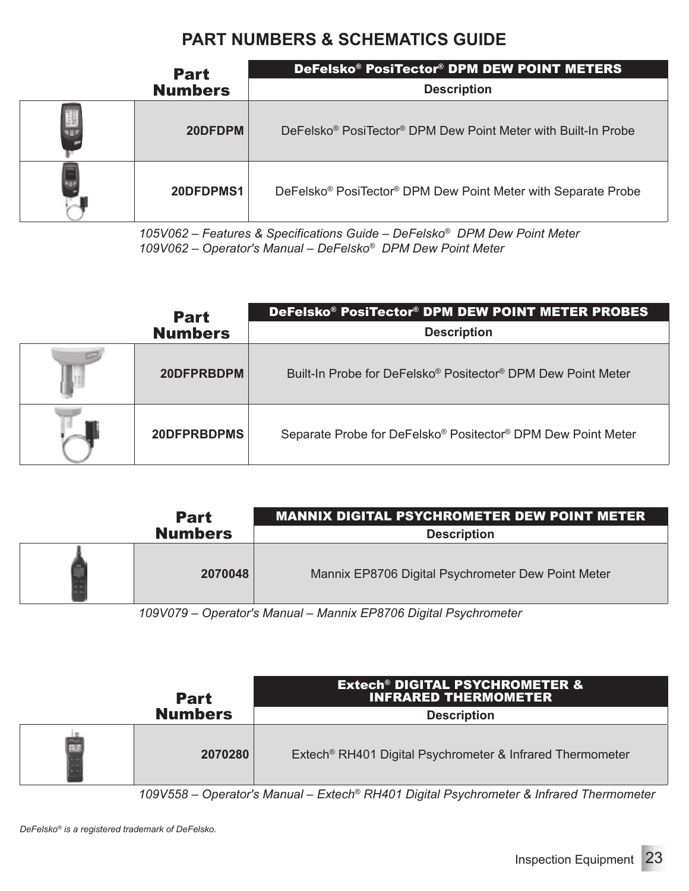| <b>Part</b>    | DeFelsko® PosiTector® DPM DEW POINT METERS                                            |
|----------------|---------------------------------------------------------------------------------------|
| <b>Numbers</b> | <b>Description</b>                                                                    |
| 20DFDPM        | DeFelsko <sup>®</sup> PosiTector <sup>®</sup> DPM Dew Point Meter with Built-In Probe |
| 20DFDPMS1      | DeFelsko <sup>®</sup> PosiTector <sup>®</sup> DPM Dew Point Meter with Separate Probe |

*105V062 – Features & Specifications Guide – DeFelsko® DPM Dew Point Meter 109V062 – Operator's Manual – DeFelsko® DPM Dew Point Meter*

| <b>Part</b>    | DeFelsko® PosiTector® DPM DEW POINT METER PROBES                                     |
|----------------|--------------------------------------------------------------------------------------|
| <b>Numbers</b> | <b>Description</b>                                                                   |
| 20DFPRBDPM     | Built-In Probe for DeFelsko <sup>®</sup> Positector <sup>®</sup> DPM Dew Point Meter |
| 20DFPRBDPMS    | Separate Probe for DeFelsko® Positector® DPM Dew Point Meter                         |

| <b>Part</b>    | <b>MANNIX DIGITAL PSYCHROMETER DEW POINT METER</b> |
|----------------|----------------------------------------------------|
| <b>Numbers</b> | <b>Description</b>                                 |
| 2070048        | Mannix EP8706 Digital Psychrometer Dew Point Meter |

*109V079 – Operator's Manual – Mannix EP8706 Digital Psychrometer*

| <b>Part</b>    | <b>Extech<sup>®</sup> DIGITAL PSYCHROMETER &amp;</b><br><b>INFRARED THERMOMETER</b> |
|----------------|-------------------------------------------------------------------------------------|
| <b>Numbers</b> | <b>Description</b>                                                                  |
| 2070280        | Extech <sup>®</sup> RH401 Digital Psychrometer & Infrared Thermometer               |

*109V558 – Operator's Manual – Extech® RH401 Digital Psychrometer & Infrared Thermometer*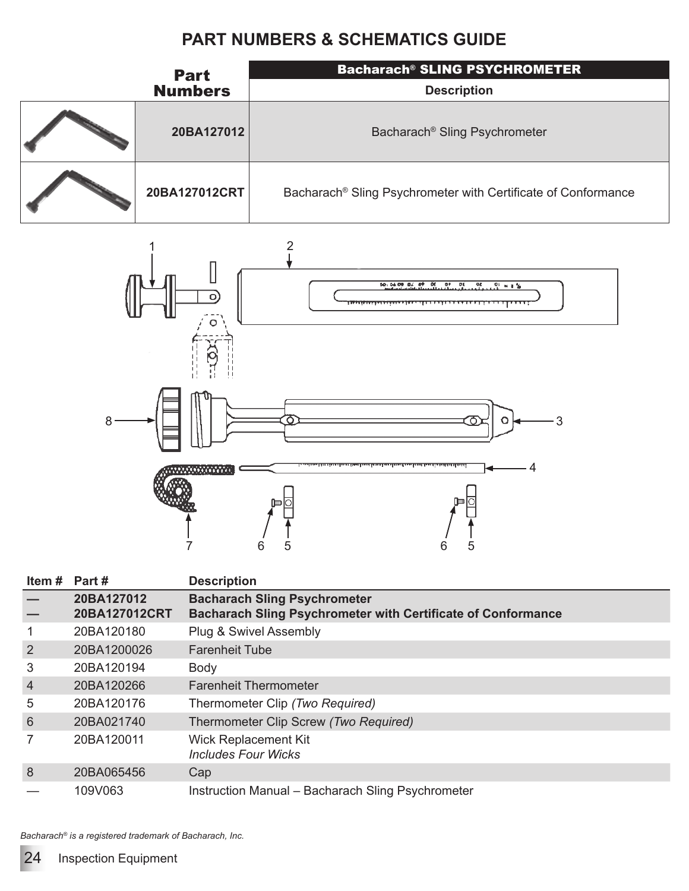| <b>Part</b>    | <b>Bacharach® SLING PSYCHROMETER</b>                          |
|----------------|---------------------------------------------------------------|
| <b>Numbers</b> | <b>Description</b>                                            |
| 20BA127012     | Bacharach® Sling Psychrometer                                 |
| 20BA127012CRT  | Bacharach® Sling Psychrometer with Certificate of Conformance |



| Item # | Part #                      | <b>Description</b>                                                                                         |
|--------|-----------------------------|------------------------------------------------------------------------------------------------------------|
|        | 20BA127012<br>20BA127012CRT | <b>Bacharach Sling Psychrometer</b><br><b>Bacharach Sling Psychrometer with Certificate of Conformance</b> |
|        | 20BA120180                  | Plug & Swivel Assembly                                                                                     |
| 2      | 20BA1200026                 | <b>Farenheit Tube</b>                                                                                      |
| 3      | 20BA120194                  | Body                                                                                                       |
| 4      | 20BA120266                  | <b>Farenheit Thermometer</b>                                                                               |
| 5      | 20BA120176                  | Thermometer Clip (Two Required)                                                                            |
| 6      | 20BA021740                  | Thermometer Clip Screw (Two Required)                                                                      |
|        | 20BA120011                  | <b>Wick Replacement Kit</b><br><b>Includes Four Wicks</b>                                                  |
| 8      | 20BA065456                  | Cap                                                                                                        |
|        | 109V063                     | Instruction Manual - Bacharach Sling Psychrometer                                                          |

*Bacharach® is a registered trademark of Bacharach, Inc.*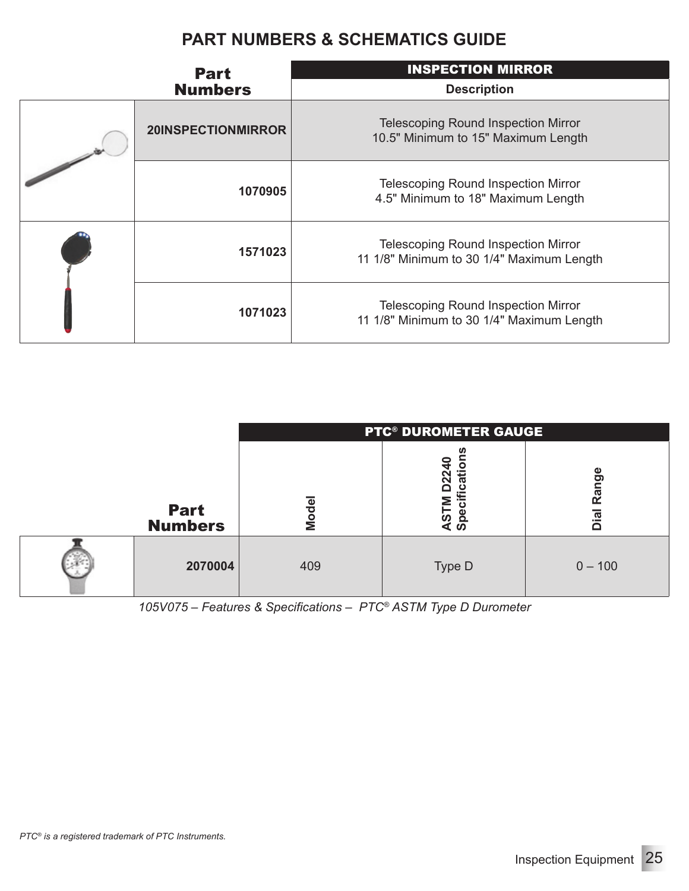| <b>Part</b><br><b>Numbers</b> | <b>INSPECTION MIRROR</b><br><b>Description</b>                                          |
|-------------------------------|-----------------------------------------------------------------------------------------|
| 20INSPECTIONMIRROR            | <b>Telescoping Round Inspection Mirror</b><br>10.5" Minimum to 15" Maximum Length       |
| 1070905                       | <b>Telescoping Round Inspection Mirror</b><br>4.5" Minimum to 18" Maximum Length        |
| 1571023                       | <b>Telescoping Round Inspection Mirror</b><br>11 1/8" Minimum to 30 1/4" Maximum Length |
| 1071023                       | <b>Telescoping Round Inspection Mirror</b><br>11 1/8" Minimum to 30 1/4" Maximum Length |

|                               |       | <b>PTC<sup>®</sup> DUROMETER GAUGE</b> |                   |
|-------------------------------|-------|----------------------------------------|-------------------|
| <b>Part</b><br><b>Numbers</b> | Model | o<br>āti<br>ω                          | Φ<br>Rang<br>Dial |
| 2070004                       | 409   | Type D                                 | $0 - 100$         |

*105V075 – Features & Specifications – PTC® ASTM Type D Durometer*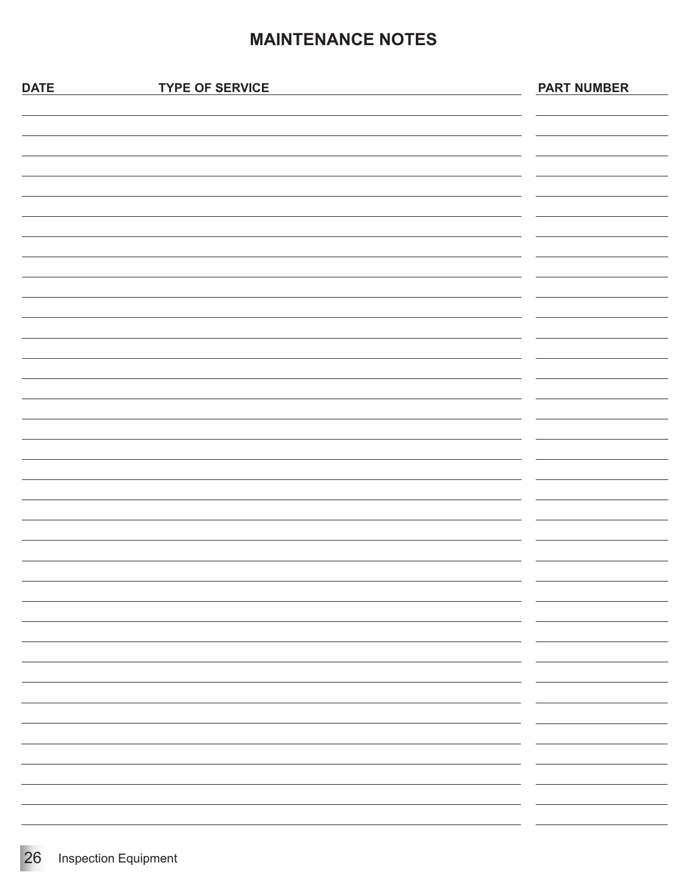#### **MAINTENANCE NOTES**

| - -<br>-                        |
|---------------------------------|
| $\overline{\phantom{0}}$<br>- - |
| - -                             |
| -                               |
|                                 |
|                                 |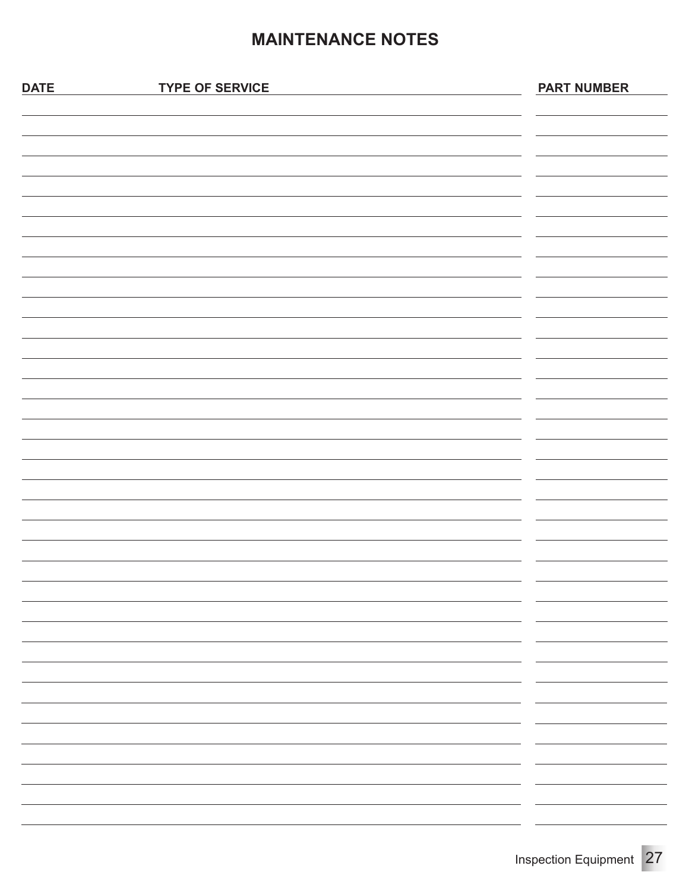#### **MAINTENANCE NOTES**

| <b>DATE</b> | <b>TYPE OF SERVICE</b> | <b>PART NUMBER</b>       |
|-------------|------------------------|--------------------------|
|             |                        |                          |
|             |                        |                          |
|             |                        |                          |
|             |                        |                          |
|             |                        |                          |
|             |                        |                          |
|             |                        |                          |
|             |                        |                          |
|             |                        |                          |
|             |                        |                          |
|             |                        |                          |
|             |                        |                          |
|             |                        |                          |
|             |                        |                          |
|             |                        |                          |
|             |                        |                          |
|             |                        |                          |
|             |                        |                          |
|             |                        |                          |
|             |                        |                          |
|             |                        |                          |
|             |                        |                          |
|             |                        |                          |
|             |                        | $\sim$                   |
|             |                        |                          |
|             |                        | $\overline{\phantom{a}}$ |
|             |                        |                          |
|             |                        |                          |
|             |                        |                          |
|             |                        |                          |
|             |                        |                          |